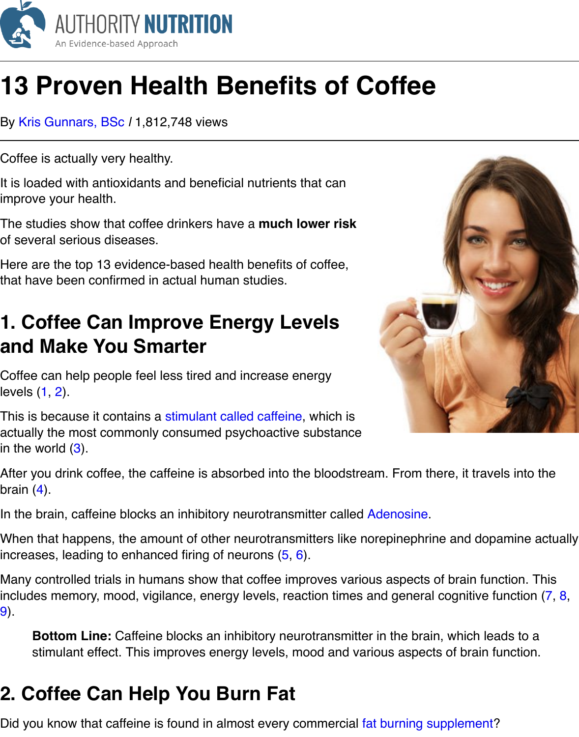Coffee is actually very healthy.

It is loaded with antioxidants and beneficial nutrients that can improve your health.

Th[e studies show that](https://authoritynutrition.com/author/kris/) coffee drinkers have a **much lower risk** of several serious diseases.

Here are the top 13 evidence-based health benefits of coffee, that have been confirmed in actual human studies.

### **1. Coffee Can Improve Energy Levels and Make You Smarter**

Coffee can help people feel less tired and increase energy levels (1, 2).

This is because it contains a stimulant called caffeine, which is actually the most commonly consumed psychoactive substance in the world  $(3)$ .



In the brain, caffeine blocks [an inhibitory neurotransm](https://authoritynutrition.com/what-is-caffeine/)itter called Adenosine.

When that happens, the amount of other neurotransmitters like norepinephrine and dop increases, le[ad](http://psycnet.apa.org/psycinfo/1997-08837-000)ing to enhanced firing of neurons  $(5, 6)$ .

Many controlled trials in humans show that coffee improves various aspects of brain fu includ[es](http://www.sciencedirect.com/science/article/pii/0024320582907159) memory, mood, vigilance, energy levels, reaction times and general cognitive 9).

**Bottom Line:** Caffeine blocks an inhibitory neurotransmitter in the brain, which le stimulant effect. This improves energy level[s,](http://onlinelibrary.wiley.com/doi/10.1111/j.1600-0773.1995.tb00111.x/abstract) [mo](http://www.ncbi.nlm.nih.gov/pubmed/1356551)od and various aspects of brain

# **2. Coffee Can Help You Burn Fat**

[D](http://link.springer.com/article/10.1007/BF00210835)id you know that caffeine is found in almost every commercial fat burning supplement

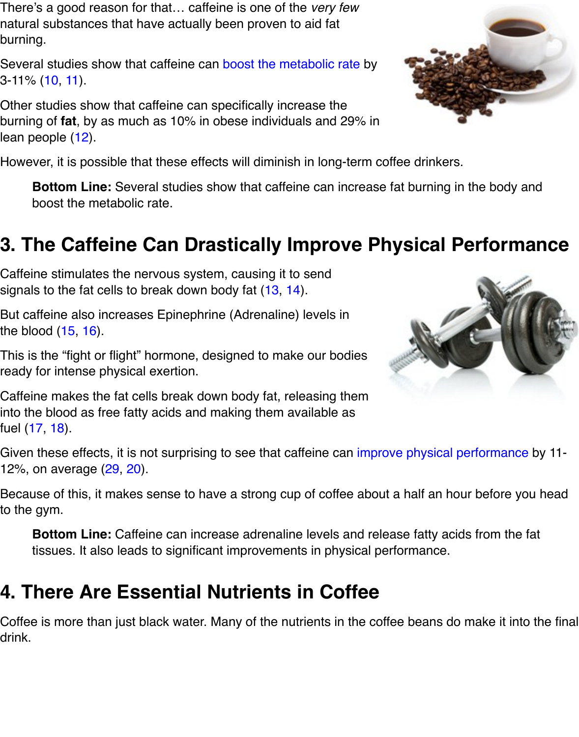Other studies show that caffeine can specifically increase the burning of **fat**, by as much as 10% in obese individuals and 29% in lean people (12).

However, it is possible that these effect[s will diminish in long-ter](https://authoritynutrition.com/coffee-increase-metabolism/)m coffee drinkers.

**B[otto](http://www.ncbi.nlm.nih.gov/pubmed/2912010)[m](http://www.ncbi.nlm.nih.gov/pubmed/7486839) Line:** Several studies show that caffeine can increase fat burning in the l boost the metabolic rate.

# **3. The [Caf](http://ajcn.nutrition.org/content/79/1/40.full.pdf+html)feine Can Drastically Improve Physical Perform**

Caffeine stimulates the nervous system, causing it to send signals to the fat cells to break down body fat (13, 14).

But caffeine also increases Epinephrine (Adrenaline) levels in the blood  $(15, 16)$ .

This is the "fight or flight" hormone, designed to make our bodies ready for intense physical exertion.

Caffeine makes the fat cells break down body [fat,](http://europepmc.org/abstract/MED/10094584/) [rele](http://link.springer.com/article/10.1007%2Fs10068-010-0151-6)asing them into the blood as free fatty acids and making them available as fuel (17, 1[8\).](http://www.ncbi.nlm.nih.gov/pubmed/8201901)

Given these effects, it is not surprising to see that caffeine can improve physical perfor 12%, on average (29, 20).

Because of this, it makes sense to have a strong cup of coffee about a half an hour bet to the gym.

**[Bo](http://www.ncbi.nlm.nih.gov/pubmed/7408399)[tto](http://www.sciencedirect.com/science/article/pii/0026049568900541)m Line:** Caffeine can increase adrenaline levels and release fatty acids from tissues. It also leads to significant improvements in physi[cal performance.](https://authoritynutrition.com/caffeine-and-exercise/)

# **4. There Are Essential Nutrients in Coffee**

Coffee is more than just black water. Many of the nutrients in the coffee beans do make drink.



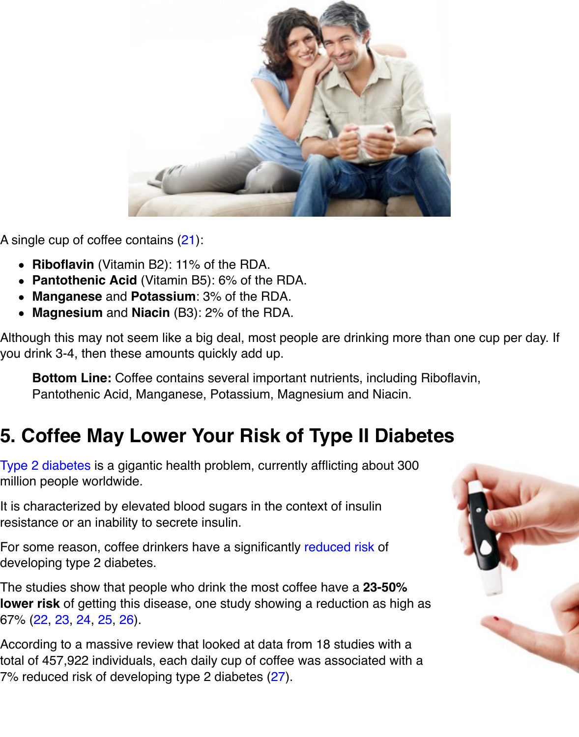

A single cup of coffee contains (21):

- **Riboflavin** (Vitamin B2): 11% of the RDA.
- **Pantothenic Acid** (Vitamin B5): 6% of the RDA.
- **Manganese** and **Potassium**: 3% of the RDA.
- **Magnesium** and **Niacin** (B3): 2% of the RDA.

Although this may not seem lik[e a b](http://nutritiondata.self.com/facts/beverages/3898/2)ig deal, most people are drinking more than one cu you drink 3-4, then these amounts quickly add up.

**Bottom Line:** Coffee contains several important nutrients, including Riboflavin, Pantothenic Acid, Manganese, Potassium, Magnesium and Niacin.

# **5. Coffee May Lower Your Risk of Type II Diabetes**

Type 2 diabetes is a gigantic health problem, currently afflicting about 300 million people worldwide.

It is characterized by elevated blood sugars in the context of insulin resistance or an inability to secrete insulin.

For some reason, coffee drinkers have a significantly reduced risk of [developing type](https://en.wikipedia.org/wiki/Diabetes_mellitus_type_2) 2 diabetes.

The studies show that people who drink the most coffee have a **23-50% lower risk** of getting this disease, one study showing a reduction as high as 67% (22, 23, 24, 25, 26).

According to a massive review that looked at data fro[m 18 studies](https://authoritynutrition.com/coffee-blood-sugar-and-diabetes/) with a total of 457,922 individuals, each daily cup of coffee was associated with a 7% reduced risk of developing type 2 diabetes (27).

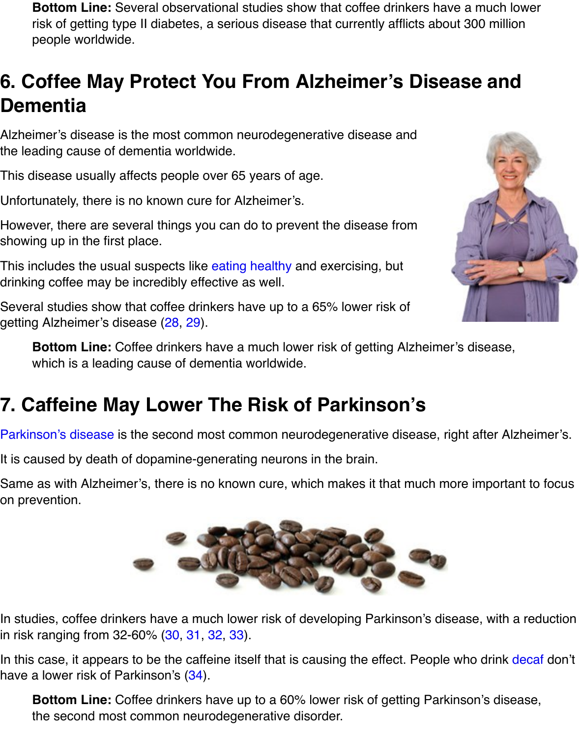#### **Dementia**

Alzheimer's disease is the most common neurodegenerative disease and the leading cause of dementia worldwide.

This disease usually affects people over 65 years of age.

Unfortunately, there is no known cure for Alzheimer's.

However, there are several things you can do to prevent the disease from showing up in the first place.

This includes the usual suspects like eating healthy and exercising, but drinking coffee may be incredibly effective as well.

Several studies show that coffee drinkers have up to a 65% lower risk of getting Alzheimer's disease (28, 29).

**Bottom Line:** Coffee drinkers have a much lower risk of getting Alzheimer's dise which is a leading cause of de[mentia worldwid](https://authoritynutrition.com/healthy-eating-for-beginners/)e.

### **7. Caffeine May Lower The Risk of Parkinson's**

Parkinson's disease is the s[eco](http://onlinelibrary.wiley.com/doi/10.1046/j.1468-1331.2002.00421.x/full)[nd m](http://www.ncbi.nlm.nih.gov/pubmed/20182026)ost common neurodegenerative disease, right after

It is caused by death of dopamine-generating neurons in the brain.

Same as with Alzheimer's, there is no known cure, which makes it that much more imp on prevention.



In studies, coffee drinkers have a much lower risk of developing Parkinson's disease, v in risk ranging from 32-60% (30, 31, 32, 33).

In this case, it appears to be the caffeine itself that is causing the effect. People who dr have a lower risk of Parkinson's (34).

**Bottom Line:** Coffee drinkers have up to a 60% lower risk of getting Parkinson's the second most common neurodegenerative disorder.

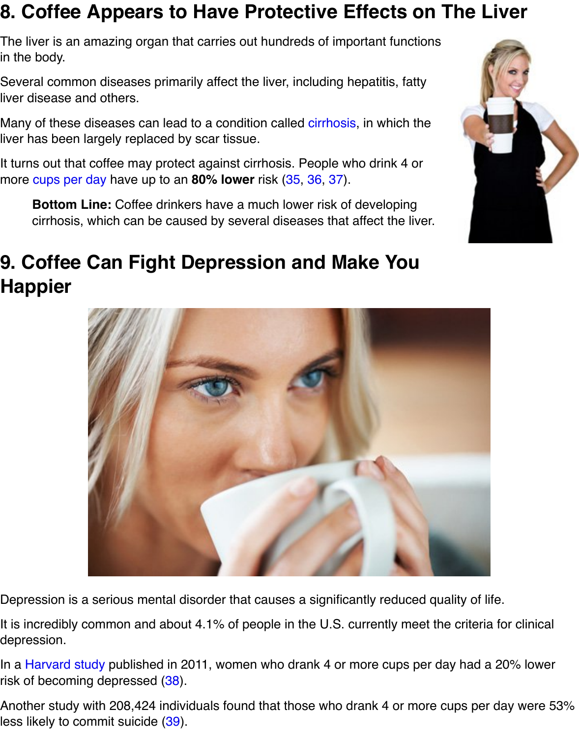liver disease and others.

Many of these diseases can lead to a condition called cirrhosis, in which the liver has been largely replaced by scar tissue.

It turns out that coffee may protect against cirrhosis. People who drink 4 or more cups per day have up to an **80% lower** risk (35, 36, 37).

**Bottom Line:** Coffee drinkers have a much lower risk of developing cirrhosis, which can be caused by several disea[ses that a](https://en.wikipedia.org/wiki/Cirrhosis)ffect the liver.

#### **9. Coffee Can Fight Depressio[n a](http://www.ncbi.nlm.nih.gov/pubmed/16772246)[nd](http://www.ncbi.nlm.nih.gov/pubmed/11897178) [M](http://www.ncbi.nlm.nih.gov/pubmed/11557177)ake You Ha[ppier](https://authoritynutrition.com/how-much-coffee-should-you-drink/)**



Depression is a serious mental disorder that causes a significantly reduced quality of lite.

It is incredibly common and about 4.1% of people in the U.S. currently meet the criteria depression.

In a Harvard study published in 2011, women who drank 4 or more cups per day had a risk of becoming depressed (38).

Another study with 208,424 individuals found that those who drank 4 or more cups per less likely to commit suicide (39).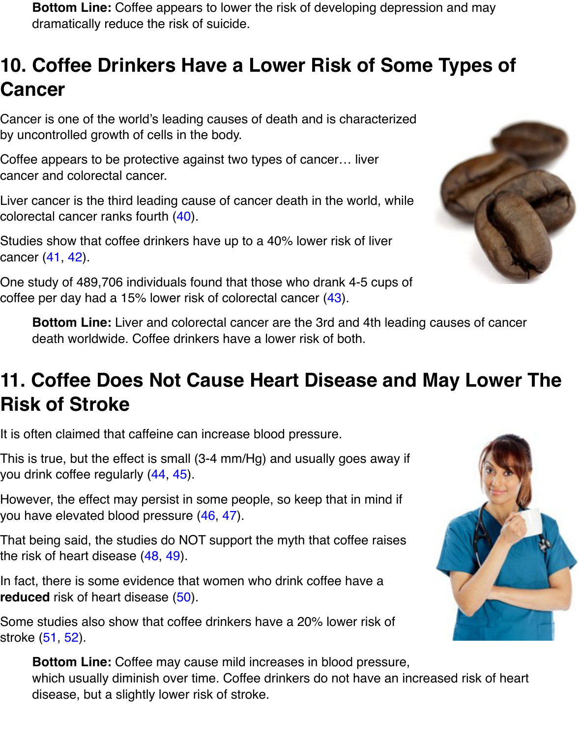Cancer is one of the world's leading causes of death and is characterized by uncontrolled growth of cells in the body.

Coffee appears to be protective against two types of cancer… liver cancer and colorectal cancer.

Liver cancer is the third leading cause of cancer death in the world, while colorectal cancer ranks fourth (40).

Studies show that coffee drinkers have up to a 40% lower risk of liver cancer (41, 42).

One study of 489,706 individuals found that those who drank 4-5 cups of coffee per day had a 15% lower risk of colorectal cancer (43).

**Bottom Line:** Liver and [colo](http://www.who.int/mediacentre/factsheets/fs297/en/)rectal cancer are the 3rd and 4th leading causes of or death worldwide. Coffee drinkers have a lower risk of both.

### **11. Coffee Does Not Cau[se](http://ajcn.nutrition.org/content/early/2012/06/12/ajcn.111.031328.abstract) Heart Disease and May Lower Risk of Stroke**

It is often claimed that caffeine can increase blood pressure.

This is true, but the effect is small (3-4 mm/Hg) and usually goes away if you drink coffee regularly (44, 45).

However, the effect may persist in some people, so keep that in mind if you have elevated blood pressure (46, 47).

That being said, the studies do NOT support the myth that coffee raises the risk of heart disease (48, 49).

In fact, there is some evid[enc](http://www.ncbi.nlm.nih.gov/pubmed/22170367)[e th](http://archinte.jamanetwork.com/article.aspx?articleid=609886)at women who drink coffee have a **reduced** risk of heart disease (50).

Some studies also show that coffe[e dr](http://hyper.ahajournals.org/content/43/4/760.short)i[nke](http://europepmc.org/abstract/MED/10556993)rs have a 20% lower risk of stroke (51, 52).

**Bottom Line:** Coff[ee m](http://circ.ahajournals.org/content/113/17/2045.short)[ay](http://www.sciencedirect.com/science/article/pii/S0939475306001694) cause mild increases in blood pressure, which usually diminish over time. Coffee drinkers do not have an increased risk of disease, but a slightly lo[wer](http://www.sciencedirect.com/science/article/pii/S0167527308008498) risk of stroke.